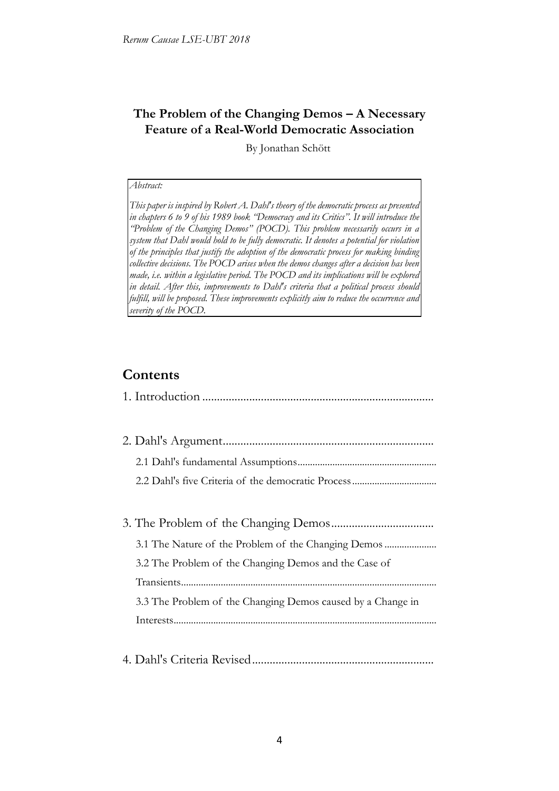## **The Problem of the Changing Demos – A Necessary Feature of a Real-World Democratic Association**

By Jonathan Schött

#### *Abstract:*

*This paper is inspired by Robert A. Dahl's theory of the democratic process as presented in chapters 6 to 9 of his 1989 book "Democracy and its Critics". It will introduce the "Problem of the Changing Demos" (POCD). This problem necessarily occurs in a system that Dahl would hold to be fully democratic. It denotes a potential for violation of the principles that justify the adoption of the democratic process for making binding collective decisions. The POCD arises when the demos changes after a decision has been made, i.e. within a legislative period. The POCD and its implications will be explored in detail. After this, improvements to Dahl's criteria that a political process should*  fulfill, will be proposed. These improvements explicitly aim to reduce the occurrence and *severity of the POCD.*

# **Contents**

| 3.1 The Nature of the Problem of the Changing Demos         |
|-------------------------------------------------------------|
| 3.2 The Problem of the Changing Demos and the Case of       |
|                                                             |
| 3.3 The Problem of the Changing Demos caused by a Change in |
|                                                             |
|                                                             |
|                                                             |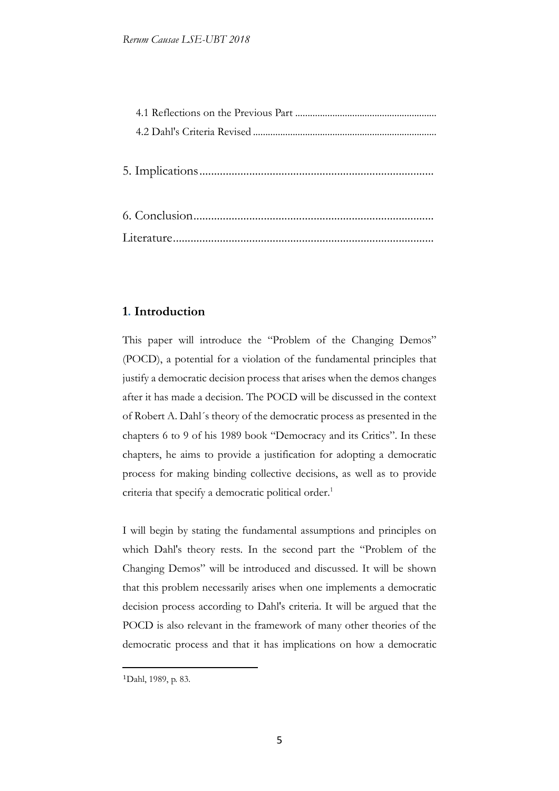### **1. Introduction**

This paper will introduce the "Problem of the Changing Demos" (POCD), a potential for a violation of the fundamental principles that justify a democratic decision process that arises when the demos changes after it has made a decision. The POCD will be discussed in the context of Robert A. Dahl´s theory of the democratic process as presented in the chapters 6 to 9 of his 1989 book "Democracy and its Critics". In these chapters, he aims to provide a justification for adopting a democratic process for making binding collective decisions, as well as to provide criteria that specify a democratic political order.<sup>1</sup>

I will begin by stating the fundamental assumptions and principles on which Dahl's theory rests. In the second part the "Problem of the Changing Demos" will be introduced and discussed. It will be shown that this problem necessarily arises when one implements a democratic decision process according to Dahl's criteria. It will be argued that the POCD is also relevant in the framework of many other theories of the democratic process and that it has implications on how a democratic

<sup>1</sup>Dahl, 1989, p. 83.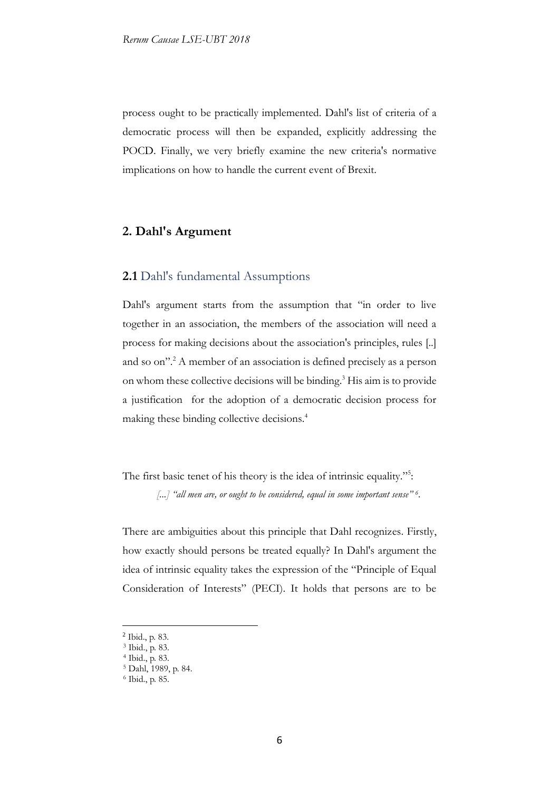process ought to be practically implemented. Dahl's list of criteria of a democratic process will then be expanded, explicitly addressing the POCD. Finally, we very briefly examine the new criteria's normative implications on how to handle the current event of Brexit.

### **2. Dahl's Argument**

#### **2.1** Dahl's fundamental Assumptions

Dahl's argument starts from the assumption that "in order to live together in an association, the members of the association will need a process for making decisions about the association's principles, rules [..] and so on".<sup>2</sup> A member of an association is defined precisely as a person on whom these collective decisions will be binding.<sup>3</sup> His aim is to provide a justification for the adoption of a democratic decision process for making these binding collective decisions.<sup>4</sup>

The first basic tenet of his theory is the idea of intrinsic equality."<sup>5</sup>:

*[...] "all men are, or ought to be considered, equal in some important sense" <sup>6</sup> .*

There are ambiguities about this principle that Dahl recognizes. Firstly, how exactly should persons be treated equally? In Dahl's argument the idea of intrinsic equality takes the expression of the "Principle of Equal Consideration of Interests" (PECI). It holds that persons are to be

<sup>&</sup>lt;u>.</u> 2 Ibid., p. 83.

<sup>3</sup> Ibid., p. 83.

<sup>4</sup> Ibid., p. 83.

<sup>5</sup> Dahl, 1989, p. 84.

<sup>6</sup> Ibid., p. 85.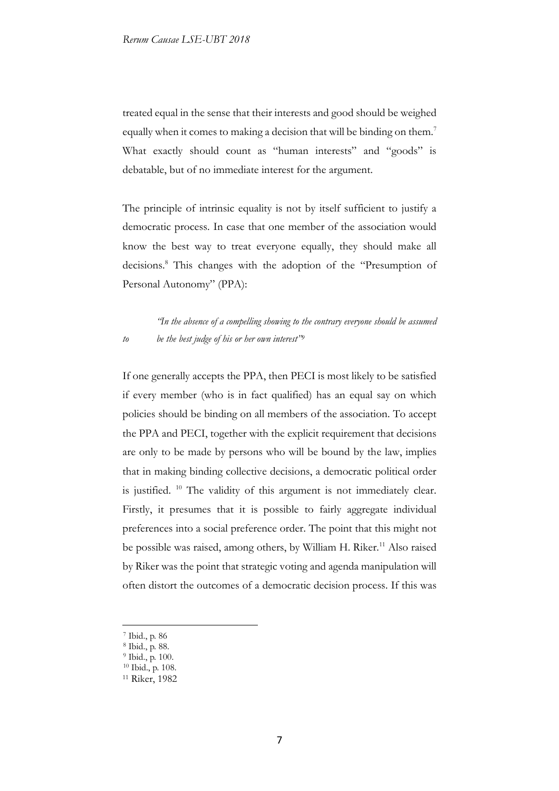treated equal in the sense that their interests and good should be weighed equally when it comes to making a decision that will be binding on them.<sup>7</sup> What exactly should count as "human interests" and "goods" is debatable, but of no immediate interest for the argument.

The principle of intrinsic equality is not by itself sufficient to justify a democratic process. In case that one member of the association would know the best way to treat everyone equally, they should make all decisions.<sup>8</sup> This changes with the adoption of the "Presumption of Personal Autonomy" (PPA):

*"In the absence of a compelling showing to the contrary everyone should be assumed to be the best judge of his or her own interest"<sup>9</sup>*

If one generally accepts the PPA, then PECI is most likely to be satisfied if every member (who is in fact qualified) has an equal say on which policies should be binding on all members of the association. To accept the PPA and PECI, together with the explicit requirement that decisions are only to be made by persons who will be bound by the law, implies that in making binding collective decisions, a democratic political order is justified. <sup>10</sup> The validity of this argument is not immediately clear. Firstly, it presumes that it is possible to fairly aggregate individual preferences into a social preference order. The point that this might not be possible was raised, among others, by William H. Riker.<sup>11</sup> Also raised by Riker was the point that strategic voting and agenda manipulation will often distort the outcomes of a democratic decision process. If this was

<sup>7</sup> Ibid., p. 86

-

<sup>8</sup> Ibid., p. 88.

<sup>9</sup> Ibid., p. 100.

<sup>10</sup> Ibid., p. 108.

<sup>11</sup> Riker, 1982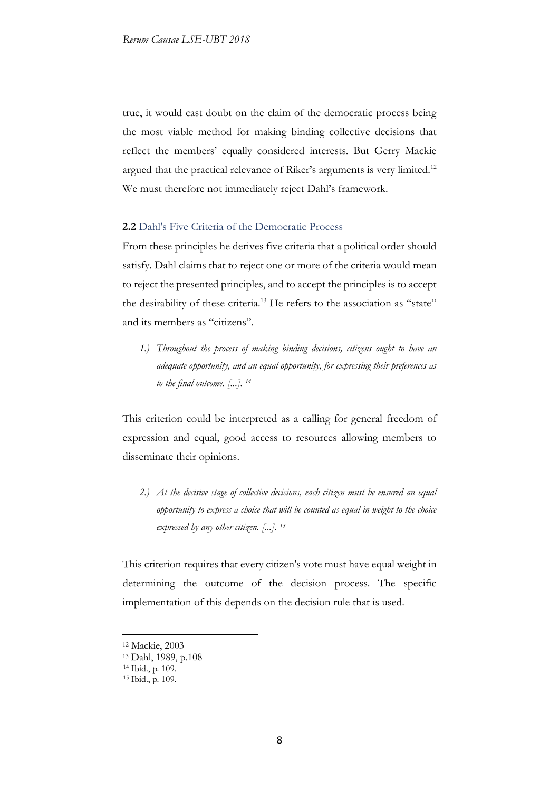true, it would cast doubt on the claim of the democratic process being the most viable method for making binding collective decisions that reflect the members' equally considered interests. But Gerry Mackie argued that the practical relevance of Riker's arguments is very limited.<sup>12</sup> We must therefore not immediately reject Dahl's framework.

### **2.2** Dahl's Five Criteria of the Democratic Process

From these principles he derives five criteria that a political order should satisfy. Dahl claims that to reject one or more of the criteria would mean to reject the presented principles, and to accept the principles is to accept the desirability of these criteria.<sup>13</sup> He refers to the association as "state" and its members as "citizens".

*1.) Throughout the process of making binding decisions, citizens ought to have an adequate opportunity, and an equal opportunity, for expressing their preferences as to the final outcome. [...]. <sup>14</sup>*

This criterion could be interpreted as a calling for general freedom of expression and equal, good access to resources allowing members to disseminate their opinions.

*2.) At the decisive stage of collective decisions, each citizen must be ensured an equal opportunity to express a choice that will be counted as equal in weight to the choice expressed by any other citizen. [...]. <sup>15</sup>*

This criterion requires that every citizen's vote must have equal weight in determining the outcome of the decision process. The specific implementation of this depends on the decision rule that is used.

<sup>12</sup> Mackie, 2003

<sup>13</sup> Dahl, 1989, p.108

<sup>14</sup> Ibid., p. 109.

<sup>15</sup> Ibid., p. 109.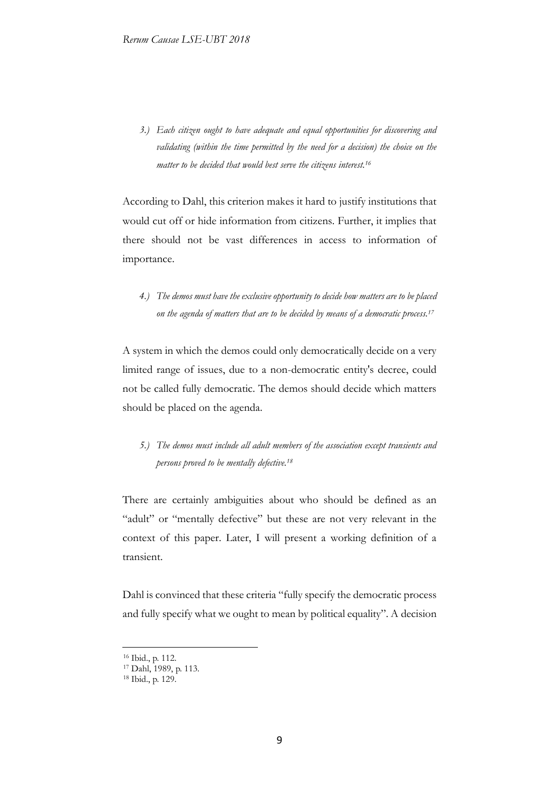*3.) Each citizen ought to have adequate and equal opportunities for discovering and validating (within the time permitted by the need for a decision) the choice on the matter to be decided that would best serve the citizens interest.<sup>16</sup>*

According to Dahl, this criterion makes it hard to justify institutions that would cut off or hide information from citizens. Further, it implies that there should not be vast differences in access to information of importance.

*4.) The demos must have the exclusive opportunity to decide how matters are to be placed on the agenda of matters that are to be decided by means of a democratic process.<sup>17</sup>*

A system in which the demos could only democratically decide on a very limited range of issues, due to a non-democratic entity's decree, could not be called fully democratic. The demos should decide which matters should be placed on the agenda.

*5.) The demos must include all adult members of the association except transients and persons proved to be mentally defective.<sup>18</sup>*

There are certainly ambiguities about who should be defined as an "adult" or "mentally defective" but these are not very relevant in the context of this paper. Later, I will present a working definition of a transient.

Dahl is convinced that these criteria "fully specify the democratic process and fully specify what we ought to mean by political equality". A decision

<sup>16</sup> Ibid., p. 112.

<sup>17</sup> Dahl, 1989, p. 113.

<sup>18</sup> Ibid., p. 129.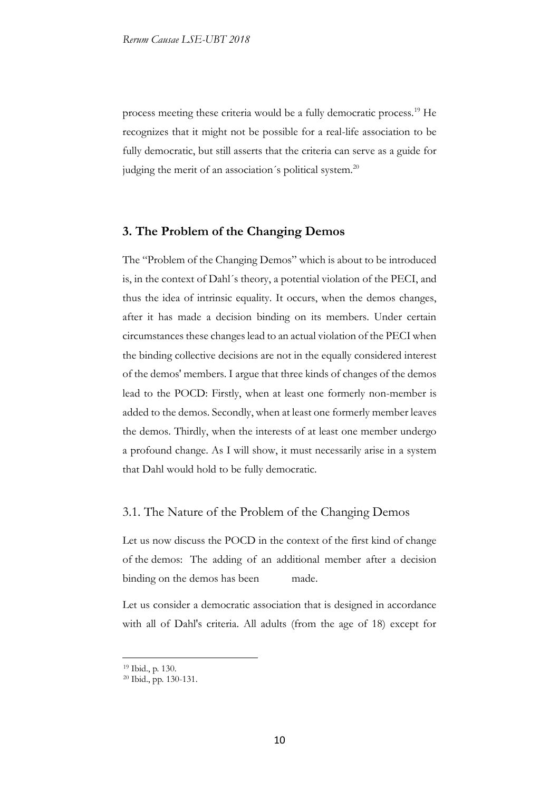process meeting these criteria would be a fully democratic process.<sup>19</sup> He recognizes that it might not be possible for a real-life association to be fully democratic, but still asserts that the criteria can serve as a guide for judging the merit of an association's political system.<sup>20</sup>

### **3. The Problem of the Changing Demos**

The "Problem of the Changing Demos" which is about to be introduced is, in the context of Dahl´s theory, a potential violation of the PECI, and thus the idea of intrinsic equality. It occurs, when the demos changes, after it has made a decision binding on its members. Under certain circumstances these changes lead to an actual violation of the PECI when the binding collective decisions are not in the equally considered interest of the demos' members. I argue that three kinds of changes of the demos lead to the POCD: Firstly, when at least one formerly non-member is added to the demos. Secondly, when at least one formerly member leaves the demos. Thirdly, when the interests of at least one member undergo a profound change. As I will show, it must necessarily arise in a system that Dahl would hold to be fully democratic.

### 3.1. The Nature of the Problem of the Changing Demos

Let us now discuss the POCD in the context of the first kind of change of the demos: The adding of an additional member after a decision binding on the demos has been made.

Let us consider a democratic association that is designed in accordance with all of Dahl's criteria. All adults (from the age of 18) except for

<sup>19</sup> Ibid., p. 130.

<sup>20</sup> Ibid., pp. 130-131.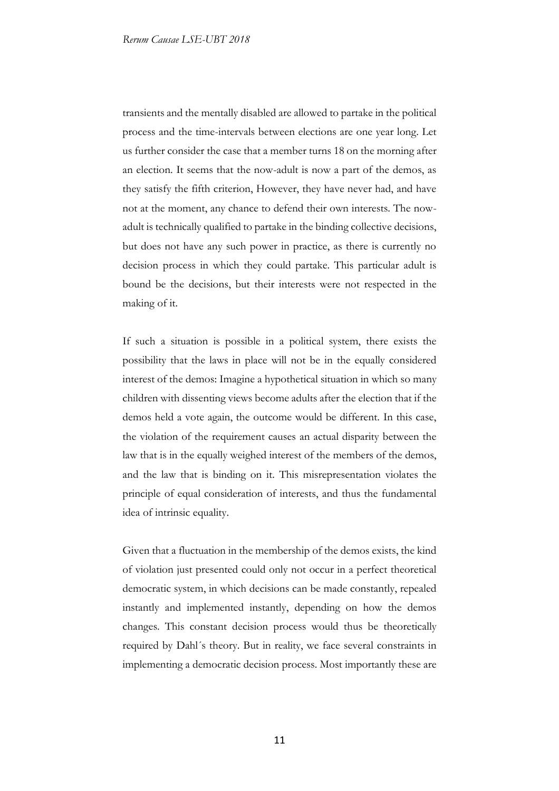transients and the mentally disabled are allowed to partake in the political process and the time-intervals between elections are one year long. Let us further consider the case that a member turns 18 on the morning after an election. It seems that the now-adult is now a part of the demos, as they satisfy the fifth criterion, However, they have never had, and have not at the moment, any chance to defend their own interests. The nowadult is technically qualified to partake in the binding collective decisions, but does not have any such power in practice, as there is currently no decision process in which they could partake. This particular adult is bound be the decisions, but their interests were not respected in the making of it.

If such a situation is possible in a political system, there exists the possibility that the laws in place will not be in the equally considered interest of the demos: Imagine a hypothetical situation in which so many children with dissenting views become adults after the election that if the demos held a vote again, the outcome would be different. In this case, the violation of the requirement causes an actual disparity between the law that is in the equally weighed interest of the members of the demos, and the law that is binding on it. This misrepresentation violates the principle of equal consideration of interests, and thus the fundamental idea of intrinsic equality.

Given that a fluctuation in the membership of the demos exists, the kind of violation just presented could only not occur in a perfect theoretical democratic system, in which decisions can be made constantly, repealed instantly and implemented instantly, depending on how the demos changes. This constant decision process would thus be theoretically required by Dahl´s theory. But in reality, we face several constraints in implementing a democratic decision process. Most importantly these are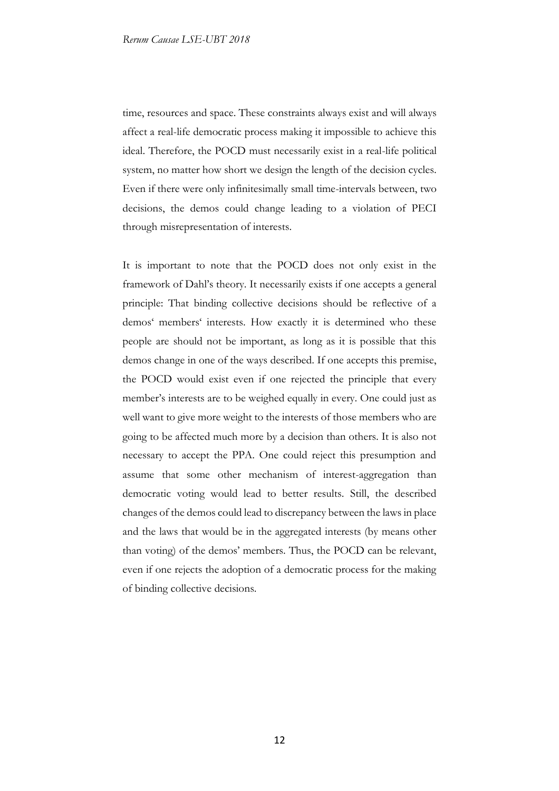time, resources and space. These constraints always exist and will always affect a real-life democratic process making it impossible to achieve this ideal. Therefore, the POCD must necessarily exist in a real-life political system, no matter how short we design the length of the decision cycles. Even if there were only infinitesimally small time-intervals between, two decisions, the demos could change leading to a violation of PECI through misrepresentation of interests.

It is important to note that the POCD does not only exist in the framework of Dahl's theory. It necessarily exists if one accepts a general principle: That binding collective decisions should be reflective of a demos' members' interests. How exactly it is determined who these people are should not be important, as long as it is possible that this demos change in one of the ways described. If one accepts this premise, the POCD would exist even if one rejected the principle that every member's interests are to be weighed equally in every. One could just as well want to give more weight to the interests of those members who are going to be affected much more by a decision than others. It is also not necessary to accept the PPA. One could reject this presumption and assume that some other mechanism of interest-aggregation than democratic voting would lead to better results. Still, the described changes of the demos could lead to discrepancy between the laws in place and the laws that would be in the aggregated interests (by means other than voting) of the demos' members. Thus, the POCD can be relevant, even if one rejects the adoption of a democratic process for the making of binding collective decisions.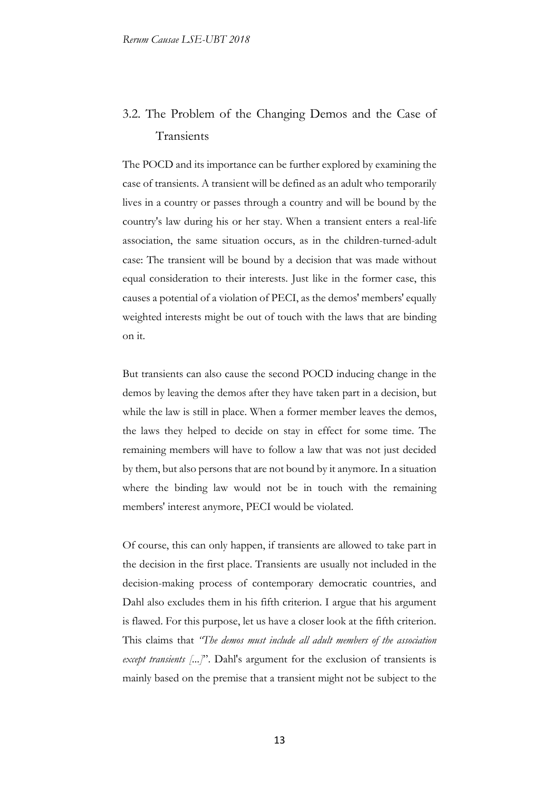# 3.2. The Problem of the Changing Demos and the Case of Transients

The POCD and its importance can be further explored by examining the case of transients. A transient will be defined as an adult who temporarily lives in a country or passes through a country and will be bound by the country's law during his or her stay. When a transient enters a real-life association, the same situation occurs, as in the children-turned-adult case: The transient will be bound by a decision that was made without equal consideration to their interests. Just like in the former case, this causes a potential of a violation of PECI, as the demos' members' equally weighted interests might be out of touch with the laws that are binding on it.

But transients can also cause the second POCD inducing change in the demos by leaving the demos after they have taken part in a decision, but while the law is still in place. When a former member leaves the demos, the laws they helped to decide on stay in effect for some time. The remaining members will have to follow a law that was not just decided by them, but also persons that are not bound by it anymore. In a situation where the binding law would not be in touch with the remaining members' interest anymore, PECI would be violated.

Of course, this can only happen, if transients are allowed to take part in the decision in the first place. Transients are usually not included in the decision-making process of contemporary democratic countries, and Dahl also excludes them in his fifth criterion. I argue that his argument is flawed. For this purpose, let us have a closer look at the fifth criterion. This claims that *"The demos must include all adult members of the association except transients* [...]". Dahl's argument for the exclusion of transients is mainly based on the premise that a transient might not be subject to the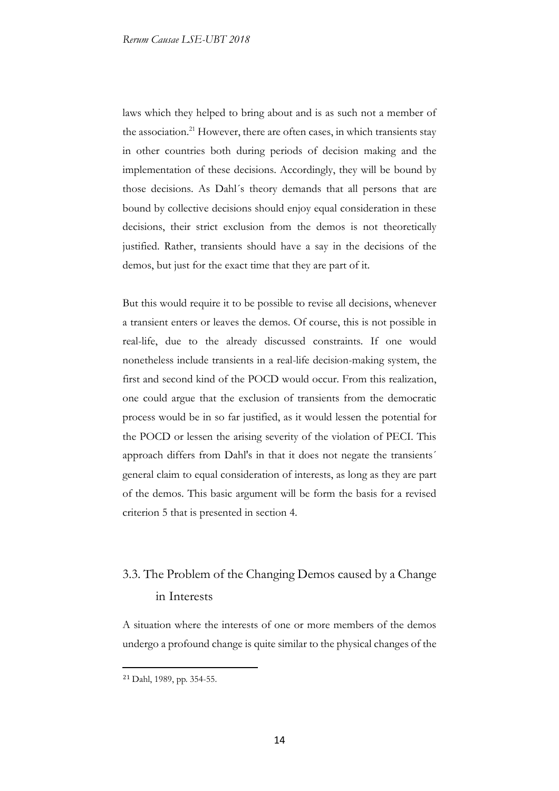laws which they helped to bring about and is as such not a member of the association.<sup>21</sup> However, there are often cases, in which transients stay in other countries both during periods of decision making and the implementation of these decisions. Accordingly, they will be bound by those decisions. As Dahl´s theory demands that all persons that are bound by collective decisions should enjoy equal consideration in these decisions, their strict exclusion from the demos is not theoretically justified. Rather, transients should have a say in the decisions of the demos, but just for the exact time that they are part of it.

But this would require it to be possible to revise all decisions, whenever a transient enters or leaves the demos. Of course, this is not possible in real-life, due to the already discussed constraints. If one would nonetheless include transients in a real-life decision-making system, the first and second kind of the POCD would occur. From this realization, one could argue that the exclusion of transients from the democratic process would be in so far justified, as it would lessen the potential for the POCD or lessen the arising severity of the violation of PECI. This approach differs from Dahl's in that it does not negate the transients´ general claim to equal consideration of interests, as long as they are part of the demos. This basic argument will be form the basis for a revised criterion 5 that is presented in section 4.

# 3.3. The Problem of the Changing Demos caused by a Change in Interests

A situation where the interests of one or more members of the demos undergo a profound change is quite similar to the physical changes of the

<sup>21</sup> Dahl, 1989, pp. 354-55.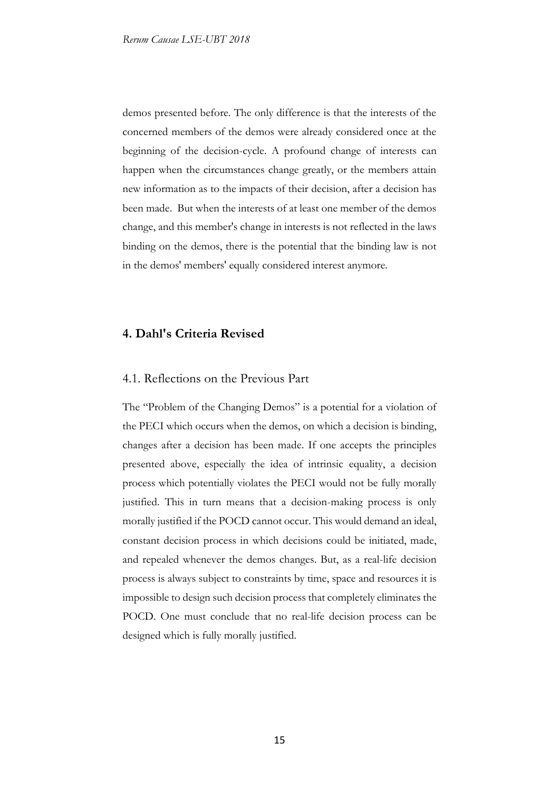demos presented before. The only difference is that the interests of the concerned members of the demos were already considered once at the beginning of the decision-cycle. A profound change of interests can happen when the circumstances change greatly, or the members attain new information as to the impacts of their decision, after a decision has been made. But when the interests of at least one member of the demos change, and this member's change in interests is not reflected in the laws binding on the demos, there is the potential that the binding law is not in the demos' members' equally considered interest anymore.

### **4. Dahl's Criteria Revised**

### 4.1. Reflections on the Previous Part

The "Problem of the Changing Demos" is a potential for a violation of the PECI which occurs when the demos, on which a decision is binding, changes after a decision has been made. If one accepts the principles presented above, especially the idea of intrinsic equality, a decision process which potentially violates the PECI would not be fully morally justified. This in turn means that a decision-making process is only morally justified if the POCD cannot occur. This would demand an ideal, constant decision process in which decisions could be initiated, made, and repealed whenever the demos changes. But, as a real-life decision process is always subject to constraints by time, space and resources it is impossible to design such decision process that completely eliminates the POCD. One must conclude that no real-life decision process can be designed which is fully morally justified.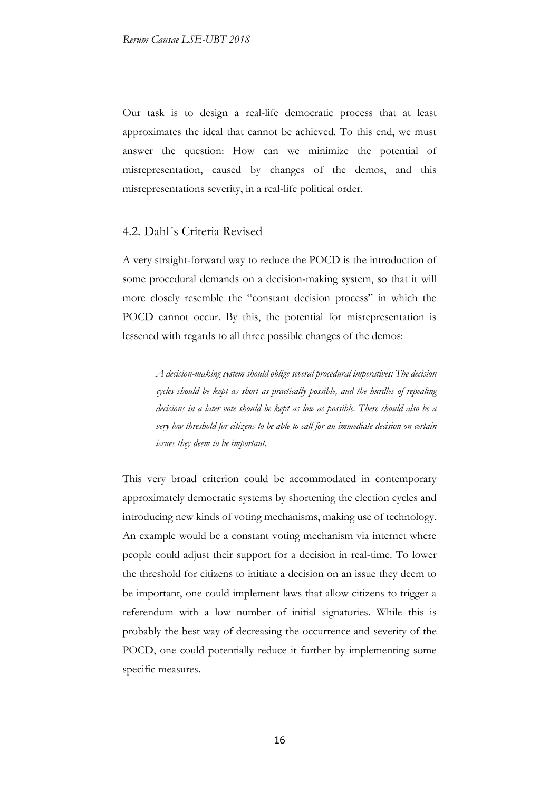Our task is to design a real-life democratic process that at least approximates the ideal that cannot be achieved. To this end, we must answer the question: How can we minimize the potential of misrepresentation, caused by changes of the demos, and this misrepresentations severity, in a real-life political order.

#### 4.2. Dahl´s Criteria Revised

A very straight-forward way to reduce the POCD is the introduction of some procedural demands on a decision-making system, so that it will more closely resemble the "constant decision process" in which the POCD cannot occur. By this, the potential for misrepresentation is lessened with regards to all three possible changes of the demos:

> *A decision-making system should oblige several procedural imperatives: The decision cycles should be kept as short as practically possible, and the hurdles of repealing decisions in a later vote should be kept as low as possible. There should also be a very low threshold for citizens to be able to call for an immediate decision on certain issues they deem to be important.*

This very broad criterion could be accommodated in contemporary approximately democratic systems by shortening the election cycles and introducing new kinds of voting mechanisms, making use of technology. An example would be a constant voting mechanism via internet where people could adjust their support for a decision in real-time. To lower the threshold for citizens to initiate a decision on an issue they deem to be important, one could implement laws that allow citizens to trigger a referendum with a low number of initial signatories. While this is probably the best way of decreasing the occurrence and severity of the POCD, one could potentially reduce it further by implementing some specific measures.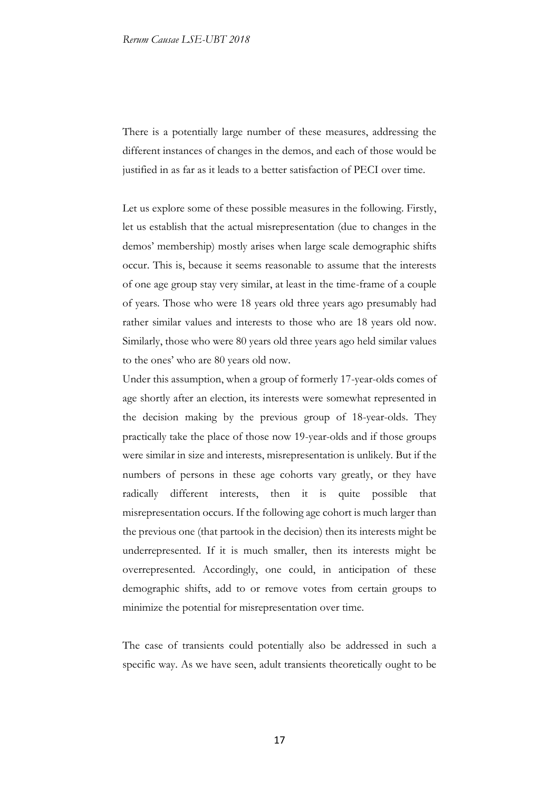There is a potentially large number of these measures, addressing the different instances of changes in the demos, and each of those would be justified in as far as it leads to a better satisfaction of PECI over time.

Let us explore some of these possible measures in the following. Firstly, let us establish that the actual misrepresentation (due to changes in the demos' membership) mostly arises when large scale demographic shifts occur. This is, because it seems reasonable to assume that the interests of one age group stay very similar, at least in the time-frame of a couple of years. Those who were 18 years old three years ago presumably had rather similar values and interests to those who are 18 years old now. Similarly, those who were 80 years old three years ago held similar values to the ones' who are 80 years old now.

Under this assumption, when a group of formerly 17-year-olds comes of age shortly after an election, its interests were somewhat represented in the decision making by the previous group of 18-year-olds. They practically take the place of those now 19-year-olds and if those groups were similar in size and interests, misrepresentation is unlikely. But if the numbers of persons in these age cohorts vary greatly, or they have radically different interests, then it is quite possible that misrepresentation occurs. If the following age cohort is much larger than the previous one (that partook in the decision) then its interests might be underrepresented. If it is much smaller, then its interests might be overrepresented. Accordingly, one could, in anticipation of these demographic shifts, add to or remove votes from certain groups to minimize the potential for misrepresentation over time.

The case of transients could potentially also be addressed in such a specific way. As we have seen, adult transients theoretically ought to be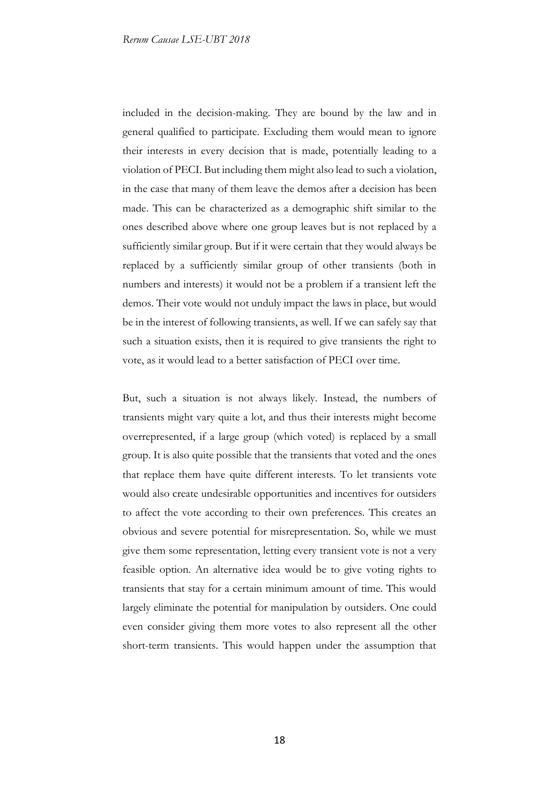included in the decision-making. They are bound by the law and in general qualified to participate. Excluding them would mean to ignore their interests in every decision that is made, potentially leading to a violation of PECI. But including them might also lead to such a violation, in the case that many of them leave the demos after a decision has been made. This can be characterized as a demographic shift similar to the ones described above where one group leaves but is not replaced by a sufficiently similar group. But if it were certain that they would always be replaced by a sufficiently similar group of other transients (both in numbers and interests) it would not be a problem if a transient left the demos. Their vote would not unduly impact the laws in place, but would be in the interest of following transients, as well. If we can safely say that such a situation exists, then it is required to give transients the right to vote, as it would lead to a better satisfaction of PECI over time.

But, such a situation is not always likely. Instead, the numbers of transients might vary quite a lot, and thus their interests might become overrepresented, if a large group (which voted) is replaced by a small group. It is also quite possible that the transients that voted and the ones that replace them have quite different interests. To let transients vote would also create undesirable opportunities and incentives for outsiders to affect the vote according to their own preferences. This creates an obvious and severe potential for misrepresentation. So, while we must give them some representation, letting every transient vote is not a very feasible option. An alternative idea would be to give voting rights to transients that stay for a certain minimum amount of time. This would largely eliminate the potential for manipulation by outsiders. One could even consider giving them more votes to also represent all the other short-term transients. This would happen under the assumption that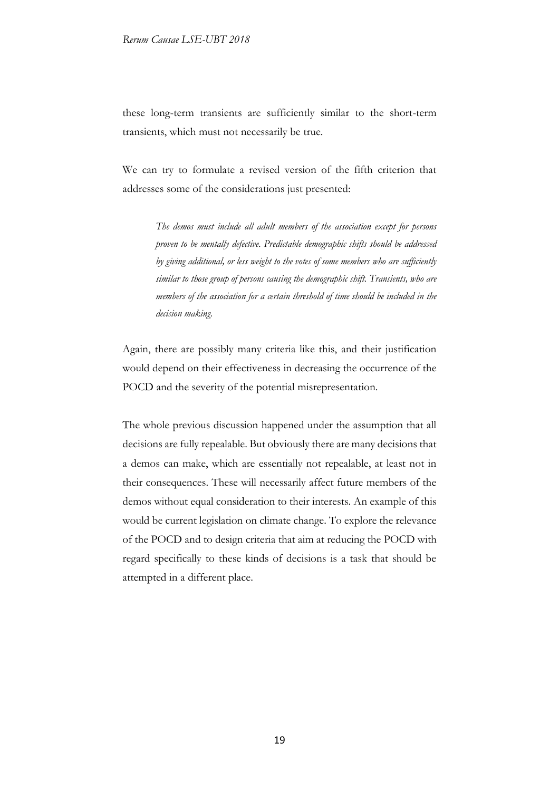these long-term transients are sufficiently similar to the short-term transients, which must not necessarily be true.

We can try to formulate a revised version of the fifth criterion that addresses some of the considerations just presented:

> *The demos must include all adult members of the association except for persons proven to be mentally defective. Predictable demographic shifts should be addressed by giving additional, or less weight to the votes of some members who are sufficiently similar to those group of persons causing the demographic shift. Transients, who are members of the association for a certain threshold of time should be included in the decision making.*

Again, there are possibly many criteria like this, and their justification would depend on their effectiveness in decreasing the occurrence of the POCD and the severity of the potential misrepresentation.

The whole previous discussion happened under the assumption that all decisions are fully repealable. But obviously there are many decisions that a demos can make, which are essentially not repealable, at least not in their consequences. These will necessarily affect future members of the demos without equal consideration to their interests. An example of this would be current legislation on climate change. To explore the relevance of the POCD and to design criteria that aim at reducing the POCD with regard specifically to these kinds of decisions is a task that should be attempted in a different place.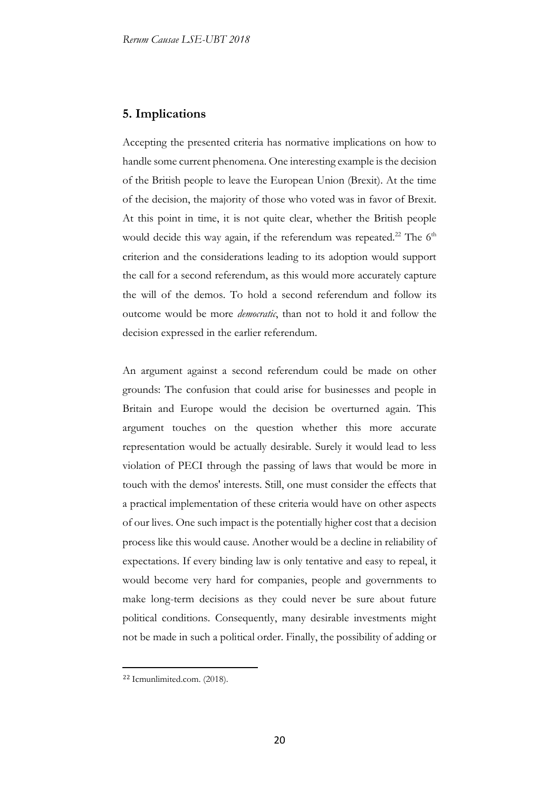### **5. Implications**

Accepting the presented criteria has normative implications on how to handle some current phenomena. One interesting example is the decision of the British people to leave the European Union (Brexit). At the time of the decision, the majority of those who voted was in favor of Brexit. At this point in time, it is not quite clear, whether the British people would decide this way again, if the referendum was repeated.<sup>22</sup> The 6<sup>th</sup> criterion and the considerations leading to its adoption would support the call for a second referendum, as this would more accurately capture the will of the demos. To hold a second referendum and follow its outcome would be more *democratic*, than not to hold it and follow the decision expressed in the earlier referendum.

An argument against a second referendum could be made on other grounds: The confusion that could arise for businesses and people in Britain and Europe would the decision be overturned again. This argument touches on the question whether this more accurate representation would be actually desirable. Surely it would lead to less violation of PECI through the passing of laws that would be more in touch with the demos' interests. Still, one must consider the effects that a practical implementation of these criteria would have on other aspects of our lives. One such impact is the potentially higher cost that a decision process like this would cause. Another would be a decline in reliability of expectations. If every binding law is only tentative and easy to repeal, it would become very hard for companies, people and governments to make long-term decisions as they could never be sure about future political conditions. Consequently, many desirable investments might not be made in such a political order. Finally, the possibility of adding or

<sup>22</sup> Icmunlimited.com. (2018).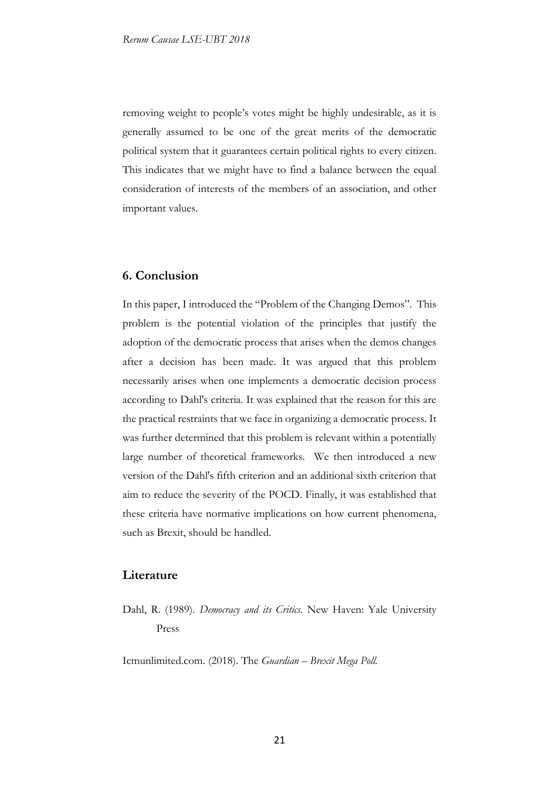removing weight to people's votes might be highly undesirable, as it is generally assumed to be one of the great merits of the democratic political system that it guarantees certain political rights to every citizen. This indicates that we might have to find a balance between the equal consideration of interests of the members of an association, and other important values.

### **6. Conclusion**

In this paper, I introduced the "Problem of the Changing Demos". This problem is the potential violation of the principles that justify the adoption of the democratic process that arises when the demos changes after a decision has been made. It was argued that this problem necessarily arises when one implements a democratic decision process according to Dahl's criteria. It was explained that the reason for this are the practical restraints that we face in organizing a democratic process. It was further determined that this problem is relevant within a potentially large number of theoretical frameworks. We then introduced a new version of the Dahl's fifth criterion and an additional sixth criterion that aim to reduce the severity of the POCD. Finally, it was established that these criteria have normative implications on how current phenomena, such as Brexit, should be handled.

### **Literature**

Dahl, R. (1989). *Democracy and its Critics.* New Haven: Yale University Press

Icmunlimited.com. (2018). The *Guardian – Brexit Mega Poll.*